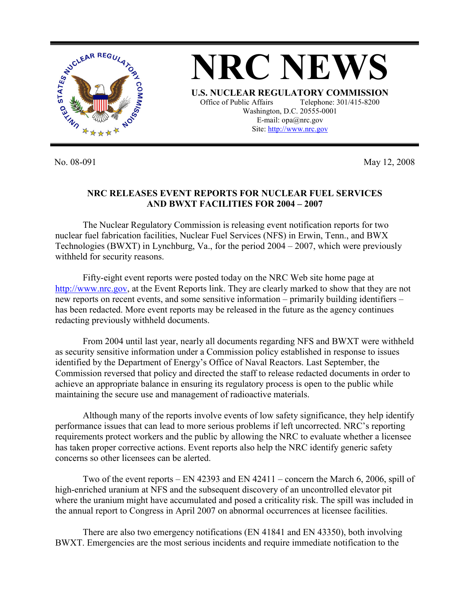

No. 08-091 May 12, 2008

## **NRC RELEASES EVENT REPORTS FOR NUCLEAR FUEL SERVICES AND BWXT FACILITIES FOR 2004 – 2007**

 The Nuclear Regulatory Commission is releasing event notification reports for two nuclear fuel fabrication facilities, Nuclear Fuel Services (NFS) in Erwin, Tenn., and BWX Technologies (BWXT) in Lynchburg, Va., for the period 2004 – 2007, which were previously withheld for security reasons.

 Fifty-eight event reports were posted today on the NRC Web site home page at http://www.nrc.gov, at the Event Reports link. They are clearly marked to show that they are not new reports on recent events, and some sensitive information – primarily building identifiers – has been redacted. More event reports may be released in the future as the agency continues redacting previously withheld documents.

From 2004 until last year, nearly all documents regarding NFS and BWXT were withheld as security sensitive information under a Commission policy established in response to issues identified by the Department of Energy's Office of Naval Reactors. Last September, the Commission reversed that policy and directed the staff to release redacted documents in order to achieve an appropriate balance in ensuring its regulatory process is open to the public while maintaining the secure use and management of radioactive materials.

Although many of the reports involve events of low safety significance, they help identify performance issues that can lead to more serious problems if left uncorrected. NRC's reporting requirements protect workers and the public by allowing the NRC to evaluate whether a licensee has taken proper corrective actions. Event reports also help the NRC identify generic safety concerns so other licensees can be alerted.

 Two of the event reports – EN 42393 and EN 42411 – concern the March 6, 2006, spill of high-enriched uranium at NFS and the subsequent discovery of an uncontrolled elevator pit where the uranium might have accumulated and posed a criticality risk. The spill was included in the annual report to Congress in April 2007 on abnormal occurrences at licensee facilities.

 There are also two emergency notifications (EN 41841 and EN 43350), both involving BWXT. Emergencies are the most serious incidents and require immediate notification to the